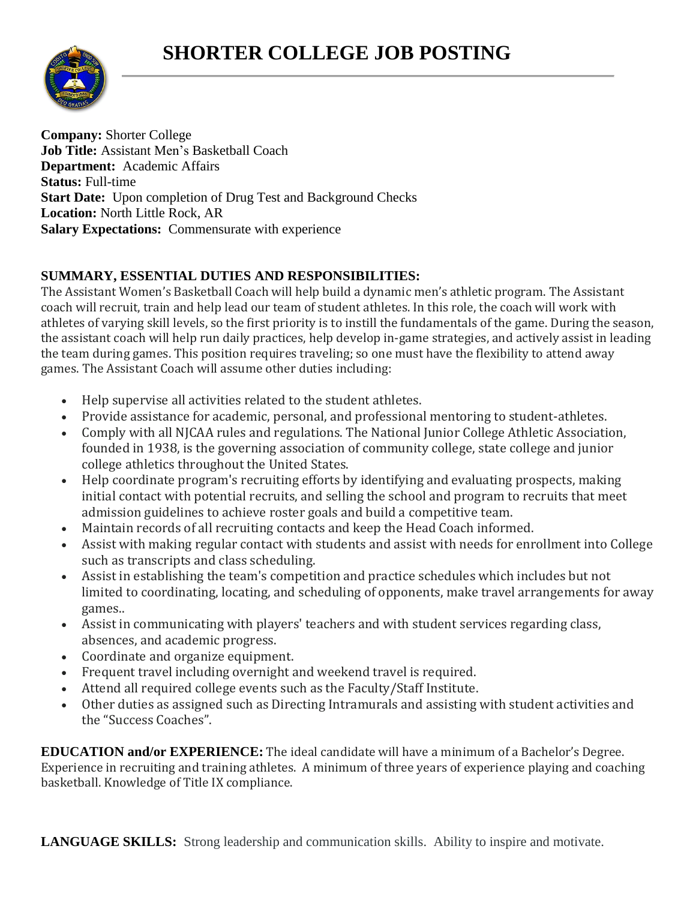## **SHORTER COLLEGE JOB POSTING**



**Company:** Shorter College **Job Title:** Assistant Men's Basketball Coach **Department:** Academic Affairs **Status:** Full-time **Start Date:** Upon completion of Drug Test and Background Checks **Location:** North Little Rock, AR **Salary Expectations:** Commensurate with experience

## **SUMMARY, ESSENTIAL DUTIES AND RESPONSIBILITIES:**

The Assistant Women's Basketball Coach will help build a dynamic men's athletic program. The Assistant coach will recruit, train and help lead our team of student athletes. In this role, the coach will work with athletes of varying skill levels, so the first priority is to instill the fundamentals of the game. During the season, the assistant coach will help run daily practices, help develop in-game strategies, and actively assist in leading the team during games. This position requires traveling; so one must have the flexibility to attend away games. The Assistant Coach will assume other duties including:

- Help supervise all activities related to the student athletes.
- Provide assistance for academic, personal, and professional mentoring to student-athletes.
- Comply with all NJCAA rules and regulations. The National Junior College Athletic Association, founded in 1938, is the governing association of community college, state college and junior college athletics throughout the United States.
- Help coordinate program's recruiting efforts by identifying and evaluating prospects, making initial contact with potential recruits, and selling the school and program to recruits that meet admission guidelines to achieve roster goals and build a competitive team.
- Maintain records of all recruiting contacts and keep the Head Coach informed.
- Assist with making regular contact with students and assist with needs for enrollment into College such as transcripts and class scheduling.
- Assist in establishing the team's competition and practice schedules which includes but not limited to coordinating, locating, and scheduling of opponents, make travel arrangements for away games..
- Assist in communicating with players' teachers and with student services regarding class, absences, and academic progress.
- Coordinate and organize equipment.
- Frequent travel including overnight and weekend travel is required.
- Attend all required college events such as the Faculty/Staff Institute.
- Other duties as assigned such as Directing Intramurals and assisting with student activities and the "Success Coaches".

**EDUCATION and/or EXPERIENCE:** The ideal candidate will have a minimum of a Bachelor's Degree. Experience in recruiting and training athletes. A minimum of three years of experience playing and coaching basketball. Knowledge of Title IX compliance.